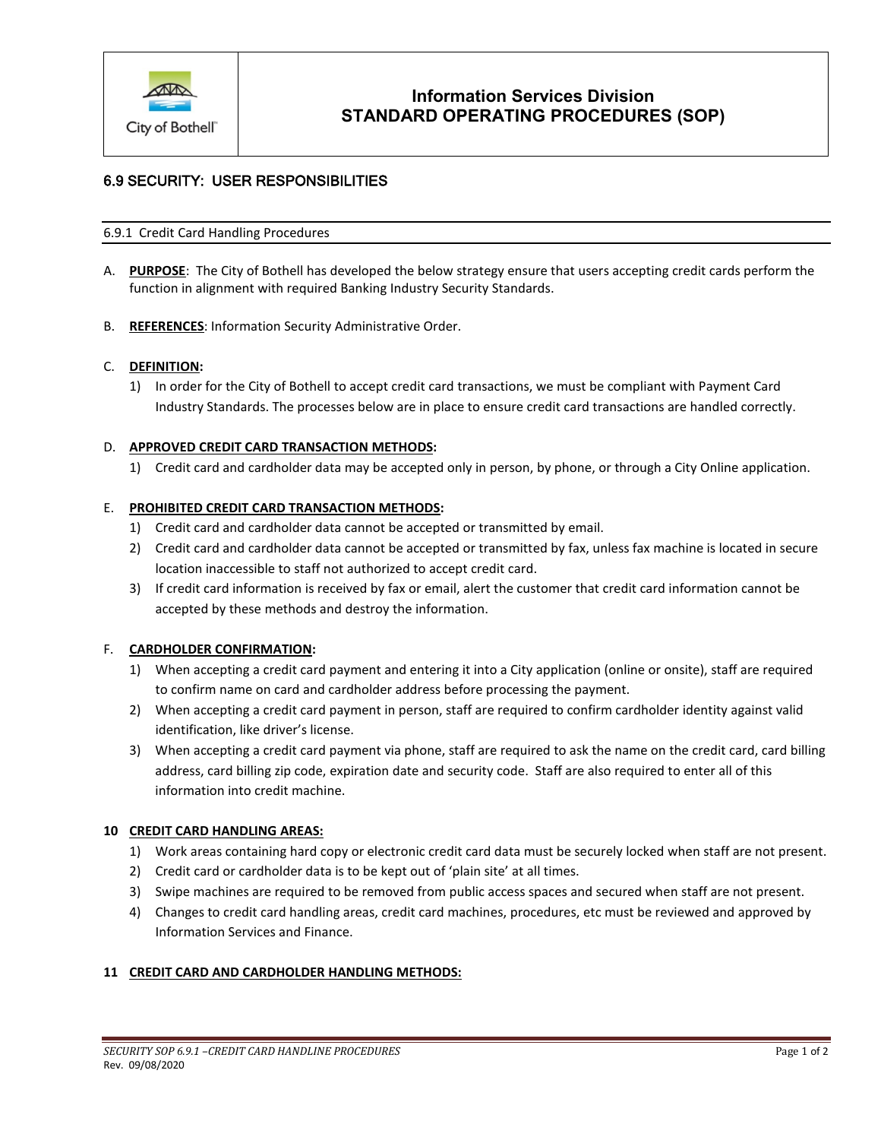

# **Information Services Division STANDARD OPERATING PROCEDURES (SOP)**

## 6.9 SECURITY: USER RESPONSIBILITIES

#### 6.9.1 Credit Card Handling Procedures

- A. **PURPOSE**: The City of Bothell has developed the below strategy ensure that users accepting credit cards perform the function in alignment with required Banking Industry Security Standards.
- B. **REFERENCES**: Information Security Administrative Order.

#### C. **DEFINITION:**

1) In order for the City of Bothell to accept credit card transactions, we must be compliant with Payment Card Industry Standards. The processes below are in place to ensure credit card transactions are handled correctly.

#### D. **APPROVED CREDIT CARD TRANSACTION METHODS:**

1) Credit card and cardholder data may be accepted only in person, by phone, or through a City Online application.

#### E. **PROHIBITED CREDIT CARD TRANSACTION METHODS:**

- 1) Credit card and cardholder data cannot be accepted or transmitted by email.
- 2) Credit card and cardholder data cannot be accepted or transmitted by fax, unless fax machine is located in secure location inaccessible to staff not authorized to accept credit card.
- 3) If credit card information is received by fax or email, alert the customer that credit card information cannot be accepted by these methods and destroy the information.

#### F. **CARDHOLDER CONFIRMATION:**

- 1) When accepting a credit card payment and entering it into a City application (online or onsite), staff are required to confirm name on card and cardholder address before processing the payment.
- 2) When accepting a credit card payment in person, staff are required to confirm cardholder identity against valid identification, like driver's license.
- 3) When accepting a credit card payment via phone, staff are required to ask the name on the credit card, card billing address, card billing zip code, expiration date and security code. Staff are also required to enter all of this information into credit machine.

### **10 CREDIT CARD HANDLING AREAS:**

- 1) Work areas containing hard copy or electronic credit card data must be securely locked when staff are not present.
- 2) Credit card or cardholder data is to be kept out of 'plain site' at all times.
- 3) Swipe machines are required to be removed from public access spaces and secured when staff are not present.
- 4) Changes to credit card handling areas, credit card machines, procedures, etc must be reviewed and approved by Information Services and Finance.

### **11 CREDIT CARD AND CARDHOLDER HANDLING METHODS:**